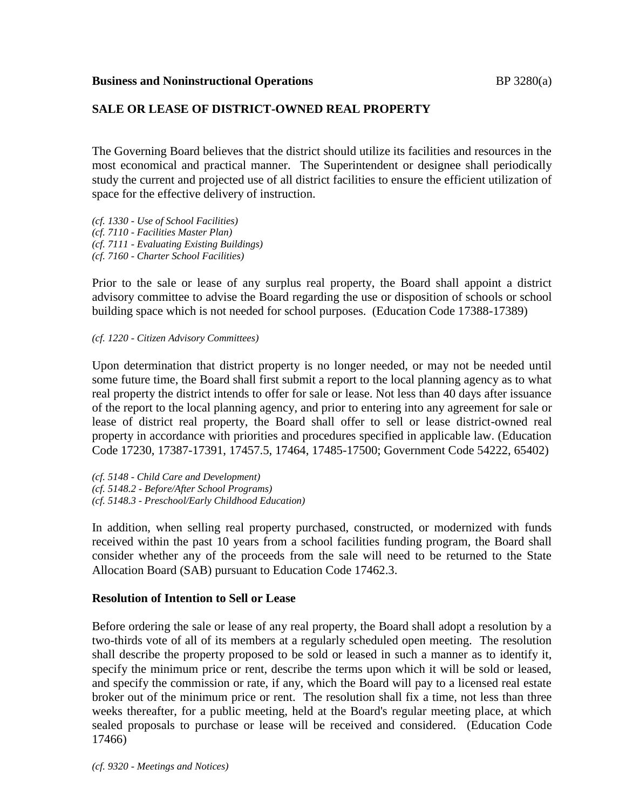#### **Business and Noninstructional Operations BP** 3280(a)

## **SALE OR LEASE OF DISTRICT-OWNED REAL PROPERTY**

The Governing Board believes that the district should utilize its facilities and resources in the most economical and practical manner. The Superintendent or designee shall periodically study the current and projected use of all district facilities to ensure the efficient utilization of space for the effective delivery of instruction.

*(cf. 1330 - Use of School Facilities) (cf. 7110 - Facilities Master Plan) (cf. 7111 - Evaluating Existing Buildings) (cf. 7160 - Charter School Facilities)*

Prior to the sale or lease of any surplus real property, the Board shall appoint a district advisory committee to advise the Board regarding the use or disposition of schools or school building space which is not needed for school purposes. (Education Code 17388-17389)

*(cf. 1220 - Citizen Advisory Committees)*

Upon determination that district property is no longer needed, or may not be needed until some future time, the Board shall first submit a report to the local planning agency as to what real property the district intends to offer for sale or lease. Not less than 40 days after issuance of the report to the local planning agency, and prior to entering into any agreement for sale or lease of district real property, the Board shall offer to sell or lease district-owned real property in accordance with priorities and procedures specified in applicable law. (Education Code 17230, 17387-17391, 17457.5, 17464, 17485-17500; Government Code 54222, 65402)

*(cf. 5148 - Child Care and Development) (cf. 5148.2 - Before/After School Programs) (cf. 5148.3 - Preschool/Early Childhood Education)*

In addition, when selling real property purchased, constructed, or modernized with funds received within the past 10 years from a school facilities funding program, the Board shall consider whether any of the proceeds from the sale will need to be returned to the State Allocation Board (SAB) pursuant to Education Code 17462.3.

### **Resolution of Intention to Sell or Lease**

Before ordering the sale or lease of any real property, the Board shall adopt a resolution by a two-thirds vote of all of its members at a regularly scheduled open meeting. The resolution shall describe the property proposed to be sold or leased in such a manner as to identify it, specify the minimum price or rent, describe the terms upon which it will be sold or leased, and specify the commission or rate, if any, which the Board will pay to a licensed real estate broker out of the minimum price or rent. The resolution shall fix a time, not less than three weeks thereafter, for a public meeting, held at the Board's regular meeting place, at which sealed proposals to purchase or lease will be received and considered. (Education Code 17466)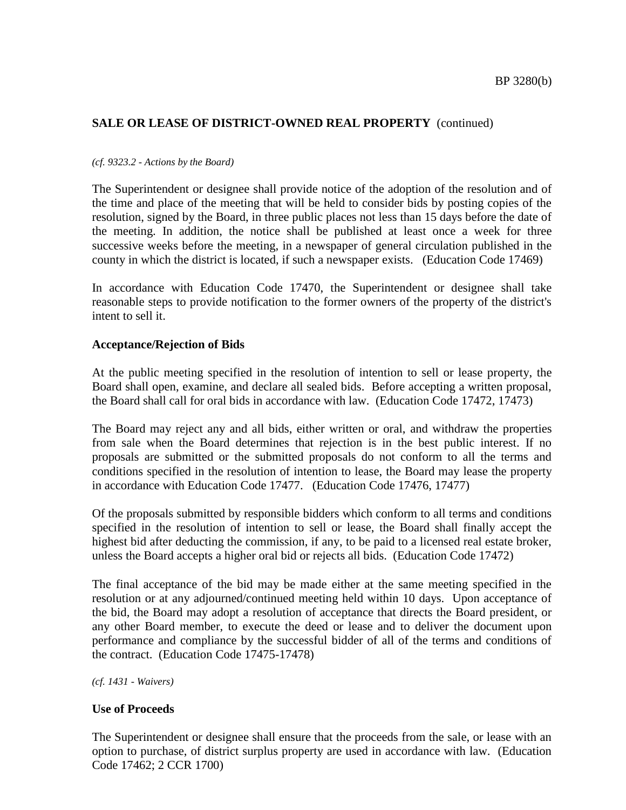#### *(cf. 9323.2 - Actions by the Board)*

The Superintendent or designee shall provide notice of the adoption of the resolution and of the time and place of the meeting that will be held to consider bids by posting copies of the resolution, signed by the Board, in three public places not less than 15 days before the date of the meeting. In addition, the notice shall be published at least once a week for three successive weeks before the meeting, in a newspaper of general circulation published in the county in which the district is located, if such a newspaper exists. (Education Code 17469)

In accordance with Education Code 17470, the Superintendent or designee shall take reasonable steps to provide notification to the former owners of the property of the district's intent to sell it.

#### **Acceptance/Rejection of Bids**

At the public meeting specified in the resolution of intention to sell or lease property, the Board shall open, examine, and declare all sealed bids. Before accepting a written proposal, the Board shall call for oral bids in accordance with law. (Education Code 17472, 17473)

The Board may reject any and all bids, either written or oral, and withdraw the properties from sale when the Board determines that rejection is in the best public interest. If no proposals are submitted or the submitted proposals do not conform to all the terms and conditions specified in the resolution of intention to lease, the Board may lease the property in accordance with Education Code 17477. (Education Code 17476, 17477)

Of the proposals submitted by responsible bidders which conform to all terms and conditions specified in the resolution of intention to sell or lease, the Board shall finally accept the highest bid after deducting the commission, if any, to be paid to a licensed real estate broker, unless the Board accepts a higher oral bid or rejects all bids. (Education Code 17472)

The final acceptance of the bid may be made either at the same meeting specified in the resolution or at any adjourned/continued meeting held within 10 days. Upon acceptance of the bid, the Board may adopt a resolution of acceptance that directs the Board president, or any other Board member, to execute the deed or lease and to deliver the document upon performance and compliance by the successful bidder of all of the terms and conditions of the contract. (Education Code 17475-17478)

*(cf. 1431 - Waivers)*

### **Use of Proceeds**

The Superintendent or designee shall ensure that the proceeds from the sale, or lease with an option to purchase, of district surplus property are used in accordance with law. (Education Code 17462; 2 CCR 1700)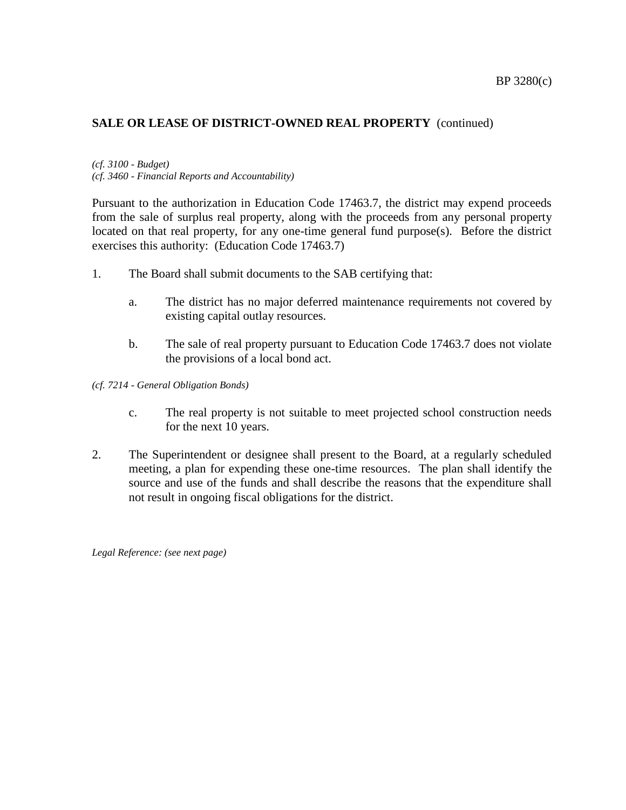*(cf. 3100 - Budget) (cf. 3460 - Financial Reports and Accountability)*

Pursuant to the authorization in Education Code 17463.7, the district may expend proceeds from the sale of surplus real property, along with the proceeds from any personal property located on that real property, for any one-time general fund purpose(s). Before the district exercises this authority: (Education Code 17463.7)

- 1. The Board shall submit documents to the SAB certifying that:
	- a. The district has no major deferred maintenance requirements not covered by existing capital outlay resources.
	- b. The sale of real property pursuant to Education Code 17463.7 does not violate the provisions of a local bond act.
- *(cf. 7214 - General Obligation Bonds)*
	- c. The real property is not suitable to meet projected school construction needs for the next 10 years.
- 2. The Superintendent or designee shall present to the Board, at a regularly scheduled meeting, a plan for expending these one-time resources. The plan shall identify the source and use of the funds and shall describe the reasons that the expenditure shall not result in ongoing fiscal obligations for the district.

*Legal Reference: (see next page)*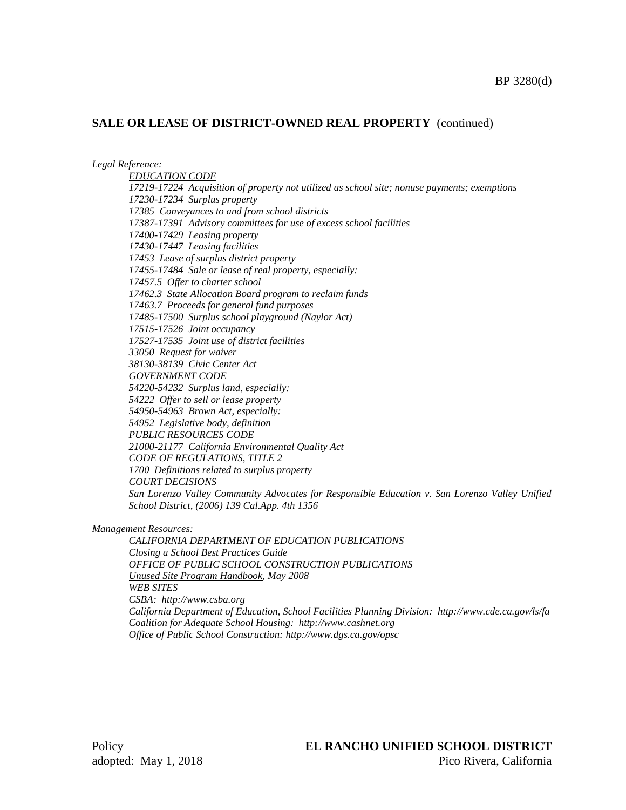*Legal Reference:*

*EDUCATION CODE 17219-17224 Acquisition of property not utilized as school site; nonuse payments; exemptions 17230-17234 Surplus property 17385 Conveyances to and from school districts 17387-17391 Advisory committees for use of excess school facilities 17400-17429 Leasing property 17430-17447 Leasing facilities 17453 Lease of surplus district property 17455-17484 Sale or lease of real property, especially: 17457.5 Offer to charter school 17462.3 State Allocation Board program to reclaim funds 17463.7 Proceeds for general fund purposes 17485-17500 Surplus school playground (Naylor Act) 17515-17526 Joint occupancy 17527-17535 Joint use of district facilities 33050 Request for waiver 38130-38139 Civic Center Act GOVERNMENT CODE 54220-54232 Surplus land, especially: 54222 Offer to sell or lease property 54950-54963 Brown Act, especially: 54952 Legislative body, definition PUBLIC RESOURCES CODE 21000-21177 California Environmental Quality Act CODE OF REGULATIONS, TITLE 2 1700 Definitions related to surplus property COURT DECISIONS San Lorenzo Valley Community Advocates for Responsible Education v. San Lorenzo Valley Unified School District, (2006) 139 Cal.App. 4th 1356*

*Management Resources:*

*CALIFORNIA DEPARTMENT OF EDUCATION PUBLICATIONS Closing a School Best Practices Guide OFFICE OF PUBLIC SCHOOL CONSTRUCTION PUBLICATIONS Unused Site Program Handbook, May 2008 WEB SITES CSBA: http://www.csba.org California Department of Education, School Facilities Planning Division: http://www.cde.ca.gov/ls/fa Coalition for Adequate School Housing: http://www.cashnet.org Office of Public School Construction: http://www.dgs.ca.gov/opsc*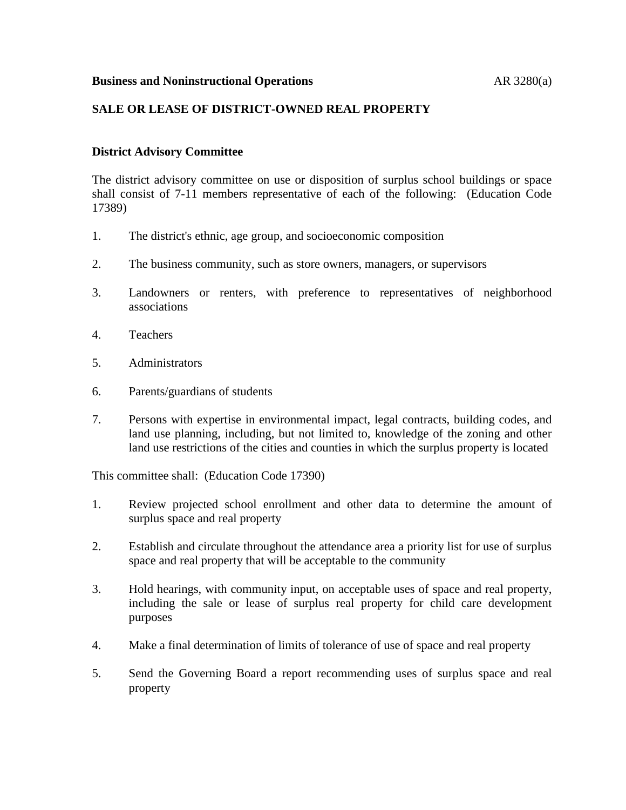#### **Business and Noninstructional Operations AR 3280(a)**

### **SALE OR LEASE OF DISTRICT-OWNED REAL PROPERTY**

### **District Advisory Committee**

The district advisory committee on use or disposition of surplus school buildings or space shall consist of 7-11 members representative of each of the following: (Education Code 17389)

- 1. The district's ethnic, age group, and socioeconomic composition
- 2. The business community, such as store owners, managers, or supervisors
- 3. Landowners or renters, with preference to representatives of neighborhood associations
- 4. Teachers
- 5. Administrators
- 6. Parents/guardians of students
- 7. Persons with expertise in environmental impact, legal contracts, building codes, and land use planning, including, but not limited to, knowledge of the zoning and other land use restrictions of the cities and counties in which the surplus property is located

This committee shall: (Education Code 17390)

- 1. Review projected school enrollment and other data to determine the amount of surplus space and real property
- 2. Establish and circulate throughout the attendance area a priority list for use of surplus space and real property that will be acceptable to the community
- 3. Hold hearings, with community input, on acceptable uses of space and real property, including the sale or lease of surplus real property for child care development purposes
- 4. Make a final determination of limits of tolerance of use of space and real property
- 5. Send the Governing Board a report recommending uses of surplus space and real property